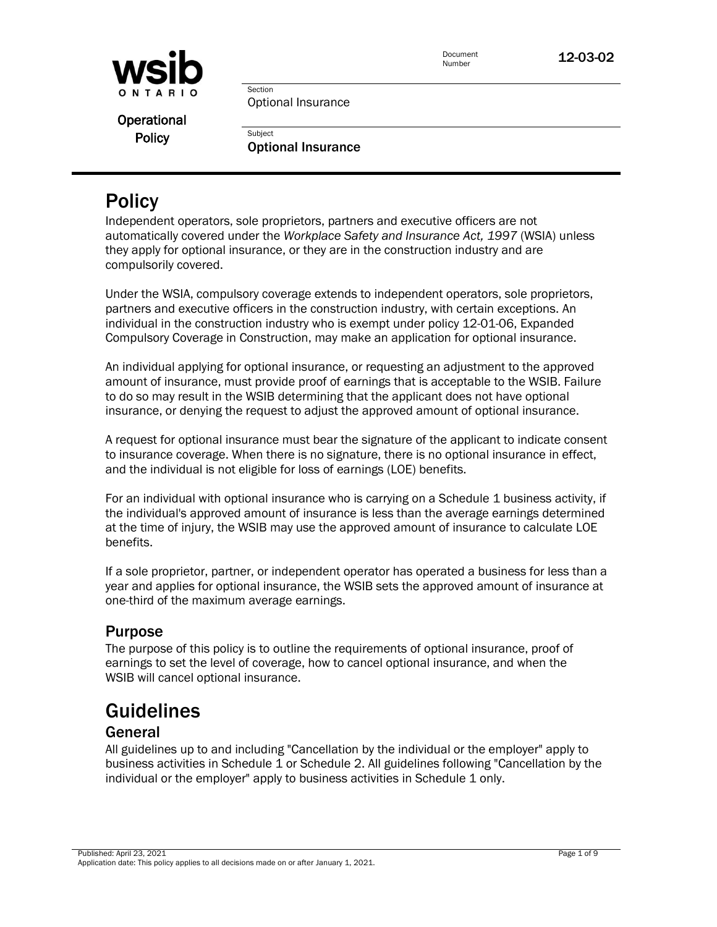

Operational

Policy **Digits Containers** Policy **Optional Insurance** 

Optional Insurance

Section

# **Policy**

Independent operators, sole proprietors, partners and executive officers are not automatically covered under the *Workplace Safety and Insurance Act, 1997* (WSIA) unless they apply for optional insurance, or they are in the construction industry and are compulsorily covered.

Under the WSIA, compulsory coverage extends to independent operators, sole proprietors, partners and executive officers in the construction industry, with certain exceptions. An individual in the construction industry who is exempt under policy 12-01-06, Expanded Compulsory Coverage in Construction, may make an application for optional insurance.

An individual applying for optional insurance, or requesting an adjustment to the approved amount of insurance, must provide proof of earnings that is acceptable to the WSIB. Failure to do so may result in the WSIB determining that the applicant does not have optional insurance, or denying the request to adjust the approved amount of optional insurance.

A request for optional insurance must bear the signature of the applicant to indicate consent to insurance coverage. When there is no signature, there is no optional insurance in effect, and the individual is not eligible for loss of earnings (LOE) benefits.

For an individual with optional insurance who is carrying on a Schedule 1 business activity, if the individual's approved amount of insurance is less than the average earnings determined at the time of injury, the WSIB may use the approved amount of insurance to calculate LOE benefits.

If a sole proprietor, partner, or independent operator has operated a business for less than a year and applies for optional insurance, the WSIB sets the approved amount of insurance at one-third of the maximum average earnings.

# Purpose

The purpose of this policy is to outline the requirements of optional insurance, proof of earnings to set the level of coverage, how to cancel optional insurance, and when the WSIB will cancel optional insurance.

# **Guidelines**

# General

All guidelines up to and including "Cancellation by the individual or the employer" apply to business activities in Schedule 1 or Schedule 2. All guidelines following "Cancellation by the individual or the employer" apply to business activities in Schedule 1 only.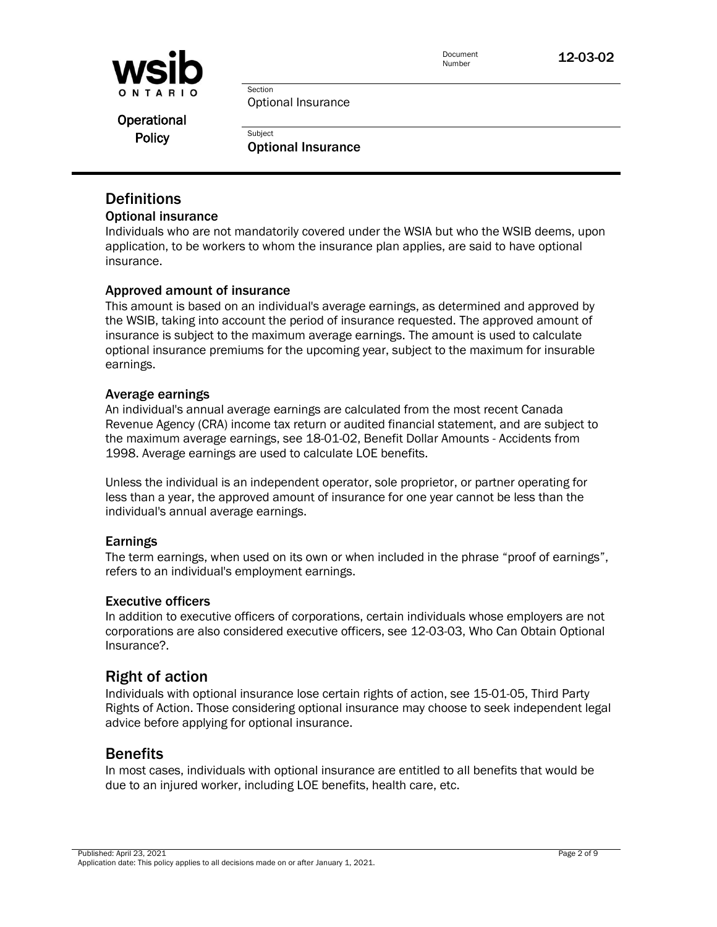

Optional Insurance

Section

Operational

Policy **Digits Containers** Policy **Optional Insurance** 

## **Definitions**

### Optional insurance

Individuals who are not mandatorily covered under the WSIA but who the WSIB deems, upon application, to be workers to whom the insurance plan applies, are said to have optional insurance.

## Approved amount of insurance

This amount is based on an individual's average earnings, as determined and approved by the WSIB, taking into account the period of insurance requested. The approved amount of insurance is subject to the maximum average earnings. The amount is used to calculate optional insurance premiums for the upcoming year, subject to the maximum for insurable earnings.

### Average earnings

An individual's annual average earnings are calculated from the most recent Canada Revenue Agency (CRA) income tax return or audited financial statement, and are subject to the maximum average earnings, see 18-01-02, Benefit Dollar Amounts - Accidents from 1998. Average earnings are used to calculate LOE benefits.

Unless the individual is an independent operator, sole proprietor, or partner operating for less than a year, the approved amount of insurance for one year cannot be less than the individual's annual average earnings.

### Earnings

The term earnings, when used on its own or when included in the phrase "proof of earnings", refers to an individual's employment earnings.

### Executive officers

In addition to executive officers of corporations, certain individuals whose employers are not corporations are also considered executive officers, see 12-03-03, Who Can Obtain Optional Insurance?.

## Right of action

Individuals with optional insurance lose certain rights of action, see 15-01-05, Third Party Rights of Action. Those considering optional insurance may choose to seek independent legal advice before applying for optional insurance.

## **Benefits**

In most cases, individuals with optional insurance are entitled to all benefits that would be due to an injured worker, including LOE benefits, health care, etc.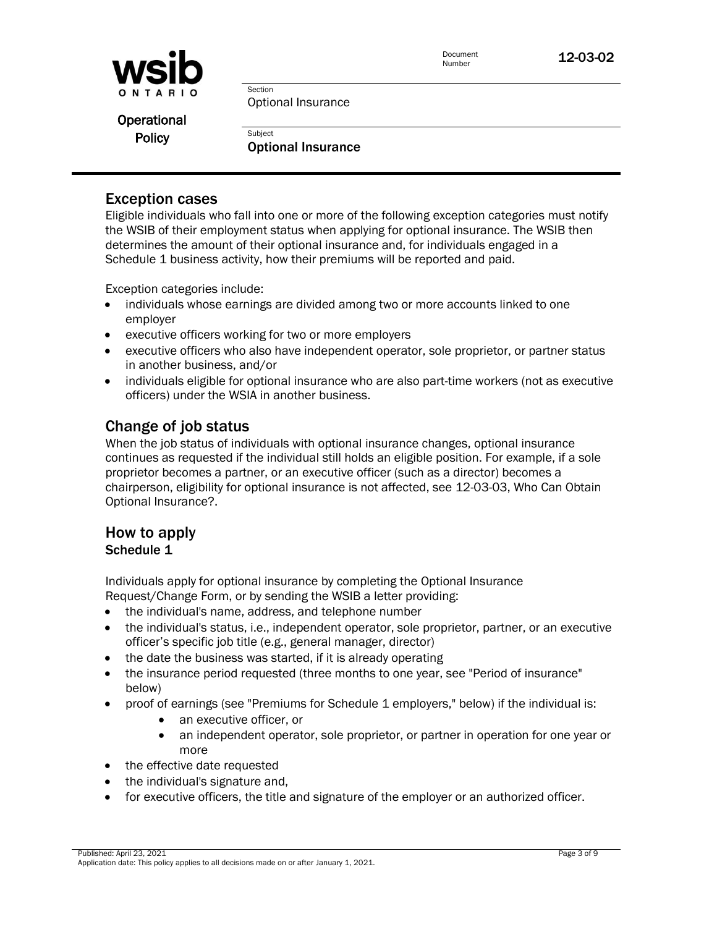

Optional Insurance

Section

Operational

Policy **Digits Containers** Policy **Optional Insurance** 

## Exception cases

Eligible individuals who fall into one or more of the following exception categories must notify the WSIB of their employment status when applying for optional insurance. The WSIB then determines the amount of their optional insurance and, for individuals engaged in a Schedule 1 business activity, how their premiums will be reported and paid.

Exception categories include:

- individuals whose earnings are divided among two or more accounts linked to one employer
- executive officers working for two or more employers
- executive officers who also have independent operator, sole proprietor, or partner status in another business, and/or
- individuals eligible for optional insurance who are also part-time workers (not as executive officers) under the WSIA in another business.

## Change of job status

When the job status of individuals with optional insurance changes, optional insurance continues as requested if the individual still holds an eligible position. For example, if a sole proprietor becomes a partner, or an executive officer (such as a director) becomes a chairperson, eligibility for optional insurance is not affected, see 12-03-03, Who Can Obtain Optional Insurance?.

## How to apply Schedule 1

Individuals apply for optional insurance by completing the Optional Insurance Request/Change Form, or by sending the WSIB a letter providing:

- the individual's name, address, and telephone number
- the individual's status, i.e., independent operator, sole proprietor, partner, or an executive officer's specific job title (e.g., general manager, director)
- the date the business was started, if it is already operating
- the insurance period requested (three months to one year, see "Period of insurance" below)
- proof of earnings (see "Premiums for Schedule 1 employers," below) if the individual is:
	- an executive officer, or
	- an independent operator, sole proprietor, or partner in operation for one year or more
- the effective date requested
- the individual's signature and,
- for executive officers, the title and signature of the employer or an authorized officer.

Published: April 23, 2021 Page 3 of 9 Application date: This policy applies to all decisions made on or after January 1, 2021.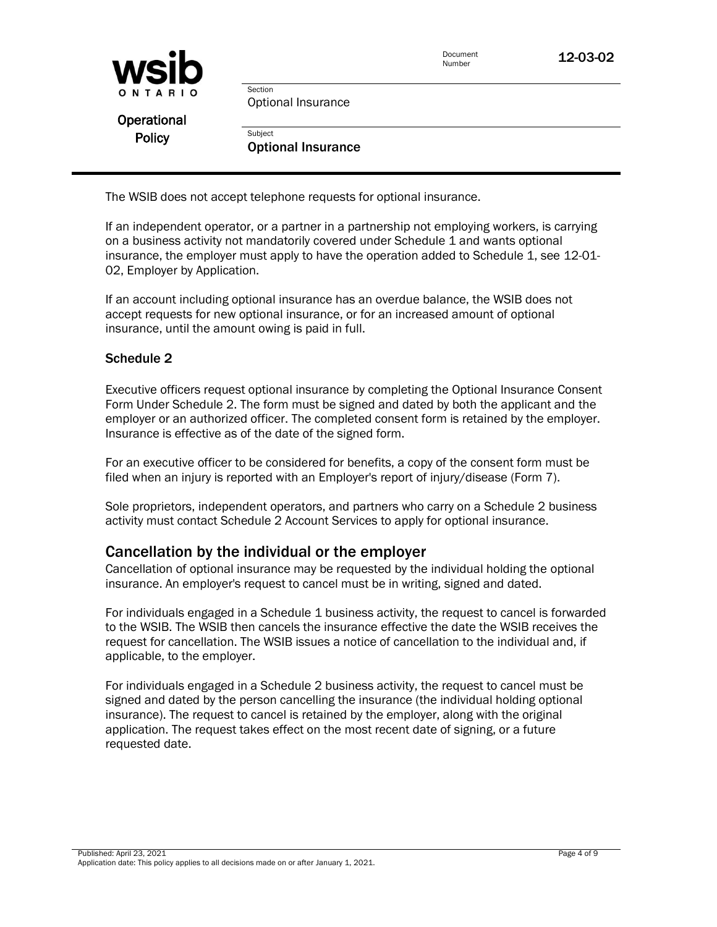| <b>WSID</b>   |                           | Document<br>Number | 12-03-02 |
|---------------|---------------------------|--------------------|----------|
| ONTARIO       | Section                   |                    |          |
|               | Optional Insurance        |                    |          |
| Operational   |                           |                    |          |
| <b>Policy</b> | Subject                   |                    |          |
|               | <b>Optional Insurance</b> |                    |          |

The WSIB does not accept telephone requests for optional insurance.

If an independent operator, or a partner in a partnership not employing workers, is carrying on a business activity not mandatorily covered under Schedule 1 and wants optional insurance, the employer must apply to have the operation added to Schedule 1, see 12-01- 02, Employer by Application.

If an account including optional insurance has an overdue balance, the WSIB does not accept requests for new optional insurance, or for an increased amount of optional insurance, until the amount owing is paid in full.

## Schedule 2

Executive officers request optional insurance by completing the Optional Insurance Consent Form Under Schedule 2. The form must be signed and dated by both the applicant and the employer or an authorized officer. The completed consent form is retained by the employer. Insurance is effective as of the date of the signed form.

For an executive officer to be considered for benefits, a copy of the consent form must be filed when an injury is reported with an Employer's report of injury/disease (Form 7).

Sole proprietors, independent operators, and partners who carry on a Schedule 2 business activity must contact Schedule 2 Account Services to apply for optional insurance.

## Cancellation by the individual or the employer

Cancellation of optional insurance may be requested by the individual holding the optional insurance. An employer's request to cancel must be in writing, signed and dated.

For individuals engaged in a Schedule 1 business activity, the request to cancel is forwarded to the WSIB. The WSIB then cancels the insurance effective the date the WSIB receives the request for cancellation. The WSIB issues a notice of cancellation to the individual and, if applicable, to the employer.

For individuals engaged in a Schedule 2 business activity, the request to cancel must be signed and dated by the person cancelling the insurance (the individual holding optional insurance). The request to cancel is retained by the employer, along with the original application. The request takes effect on the most recent date of signing, or a future requested date.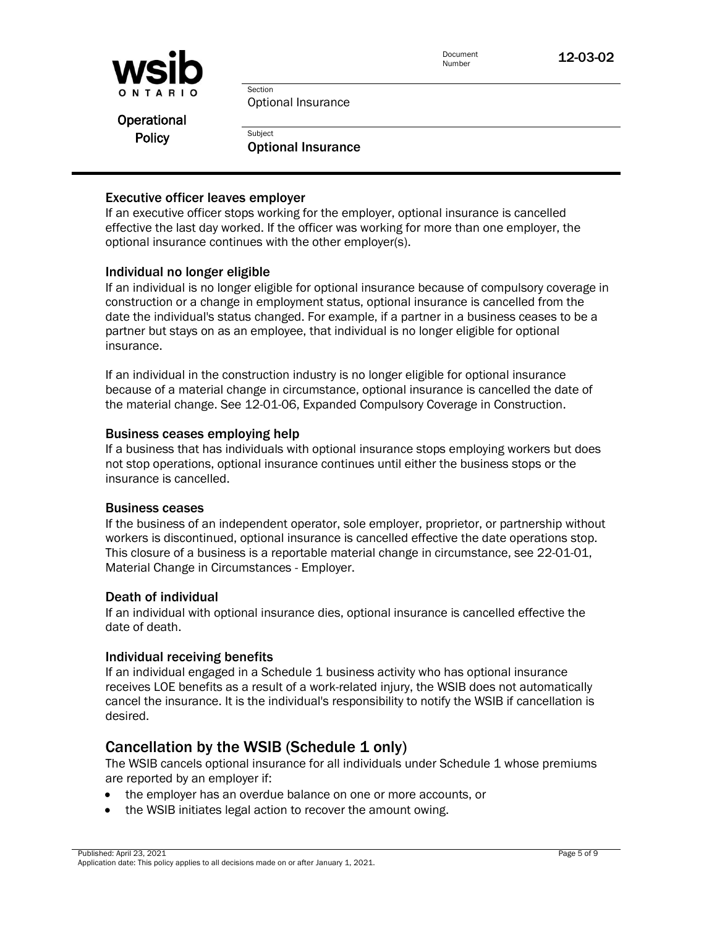

Optional Insurance

Section

Operational

Policy **Bubject Policy Optional Insurance** 

### Executive officer leaves employer

If an executive officer stops working for the employer, optional insurance is cancelled effective the last day worked. If the officer was working for more than one employer, the optional insurance continues with the other employer(s).

## Individual no longer eligible

If an individual is no longer eligible for optional insurance because of compulsory coverage in construction or a change in employment status, optional insurance is cancelled from the date the individual's status changed. For example, if a partner in a business ceases to be a partner but stays on as an employee, that individual is no longer eligible for optional insurance.

If an individual in the construction industry is no longer eligible for optional insurance because of a material change in circumstance, optional insurance is cancelled the date of the material change. See 12-01-06, Expanded Compulsory Coverage in Construction.

### Business ceases employing help

If a business that has individuals with optional insurance stops employing workers but does not stop operations, optional insurance continues until either the business stops or the insurance is cancelled.

#### Business ceases

If the business of an independent operator, sole employer, proprietor, or partnership without workers is discontinued, optional insurance is cancelled effective the date operations stop. This closure of a business is a reportable material change in circumstance, see 22-01-01, Material Change in Circumstances - Employer.

### Death of individual

If an individual with optional insurance dies, optional insurance is cancelled effective the date of death.

### Individual receiving benefits

If an individual engaged in a Schedule 1 business activity who has optional insurance receives LOE benefits as a result of a work-related injury, the WSIB does not automatically cancel the insurance. It is the individual's responsibility to notify the WSIB if cancellation is desired.

## Cancellation by the WSIB (Schedule 1 only)

The WSIB cancels optional insurance for all individuals under Schedule 1 whose premiums are reported by an employer if:

- the employer has an overdue balance on one or more accounts, or
- the WSIB initiates legal action to recover the amount owing.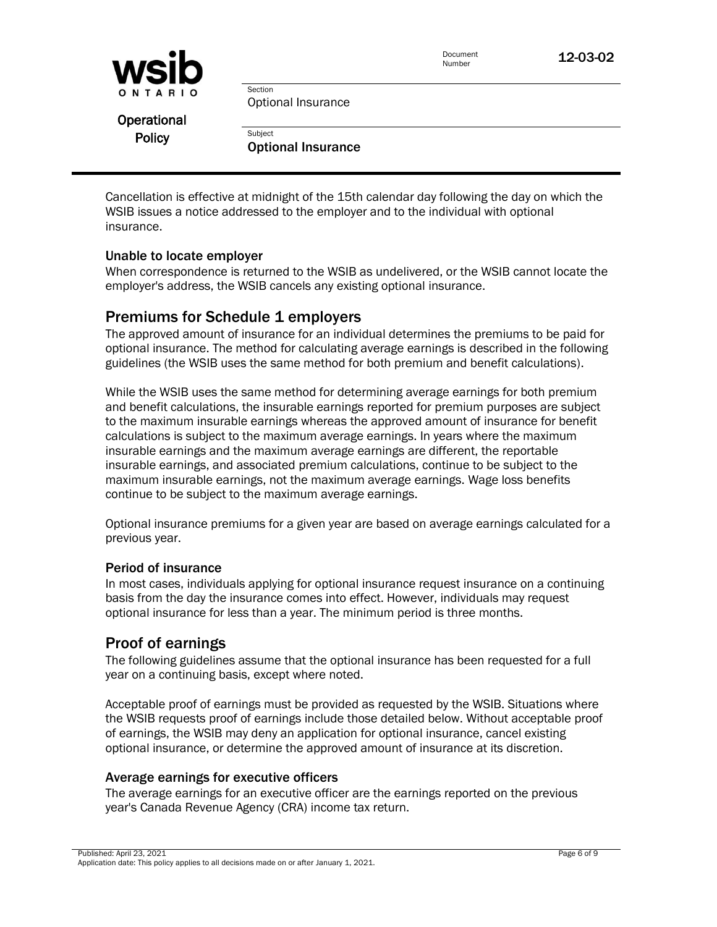

Operational

Policy **Digits Containers** Policy **Optional Insurance** 

Optional Insurance

Section

Cancellation is effective at midnight of the 15th calendar day following the day on which the WSIB issues a notice addressed to the employer and to the individual with optional insurance.

#### Unable to locate employer

When correspondence is returned to the WSIB as undelivered, or the WSIB cannot locate the employer's address, the WSIB cancels any existing optional insurance.

## Premiums for Schedule 1 employers

The approved amount of insurance for an individual determines the premiums to be paid for optional insurance. The method for calculating average earnings is described in the following guidelines (the WSIB uses the same method for both premium and benefit calculations).

While the WSIB uses the same method for determining average earnings for both premium and benefit calculations, the insurable earnings reported for premium purposes are subject to the maximum insurable earnings whereas the approved amount of insurance for benefit calculations is subject to the maximum average earnings. In years where the maximum insurable earnings and the maximum average earnings are different, the reportable insurable earnings, and associated premium calculations, continue to be subject to the maximum insurable earnings, not the maximum average earnings. Wage loss benefits continue to be subject to the maximum average earnings.

Optional insurance premiums for a given year are based on average earnings calculated for a previous year.

#### Period of insurance

In most cases, individuals applying for optional insurance request insurance on a continuing basis from the day the insurance comes into effect. However, individuals may request optional insurance for less than a year. The minimum period is three months.

## Proof of earnings

The following guidelines assume that the optional insurance has been requested for a full year on a continuing basis, except where noted.

Acceptable proof of earnings must be provided as requested by the WSIB. Situations where the WSIB requests proof of earnings include those detailed below. Without acceptable proof of earnings, the WSIB may deny an application for optional insurance, cancel existing optional insurance, or determine the approved amount of insurance at its discretion.

### Average earnings for executive officers

The average earnings for an executive officer are the earnings reported on the previous year's Canada Revenue Agency (CRA) income tax return.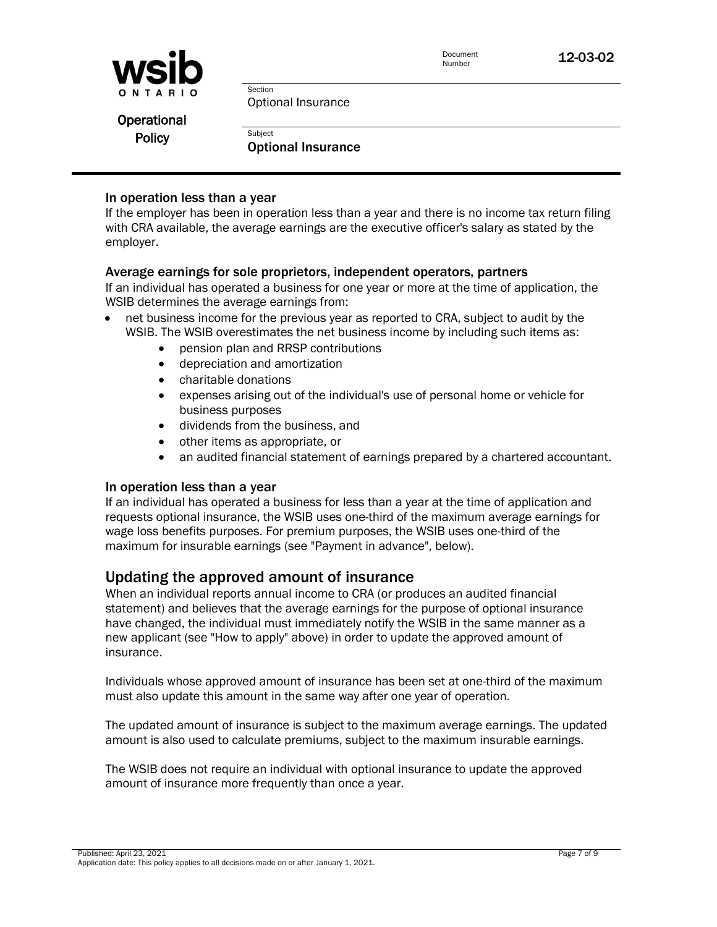

Optional Insurance

Section

Operational

Policy **Bubject Policy Optional Insurance** 

#### In operation less than a year

If the employer has been in operation less than a year and there is no income tax return filing with CRA available, the average earnings are the executive officer's salary as stated by the employer.

#### Average earnings for sole proprietors, independent operators, partners

If an individual has operated a business for one year or more at the time of application, the WSIB determines the average earnings from:

- net business income for the previous year as reported to CRA, subject to audit by the WSIB. The WSIB overestimates the net business income by including such items as:
	- pension plan and RRSP contributions
	- depreciation and amortization
	- charitable donations
	- expenses arising out of the individual's use of personal home or vehicle for business purposes
	- dividends from the business, and
	- other items as appropriate, or
	- an audited financial statement of earnings prepared by a chartered accountant.

#### In operation less than a year

If an individual has operated a business for less than a year at the time of application and requests optional insurance, the WSIB uses one-third of the maximum average earnings for wage loss benefits purposes. For premium purposes, the WSIB uses one-third of the maximum for insurable earnings (see "Payment in advance", below).

## Updating the approved amount of insurance

When an individual reports annual income to CRA (or produces an audited financial statement) and believes that the average earnings for the purpose of optional insurance have changed, the individual must immediately notify the WSIB in the same manner as a new applicant (see "How to apply" above) in order to update the approved amount of insurance.

Individuals whose approved amount of insurance has been set at one-third of the maximum must also update this amount in the same way after one year of operation.

The updated amount of insurance is subject to the maximum average earnings. The updated amount is also used to calculate premiums, subject to the maximum insurable earnings.

The WSIB does not require an individual with optional insurance to update the approved amount of insurance more frequently than once a year.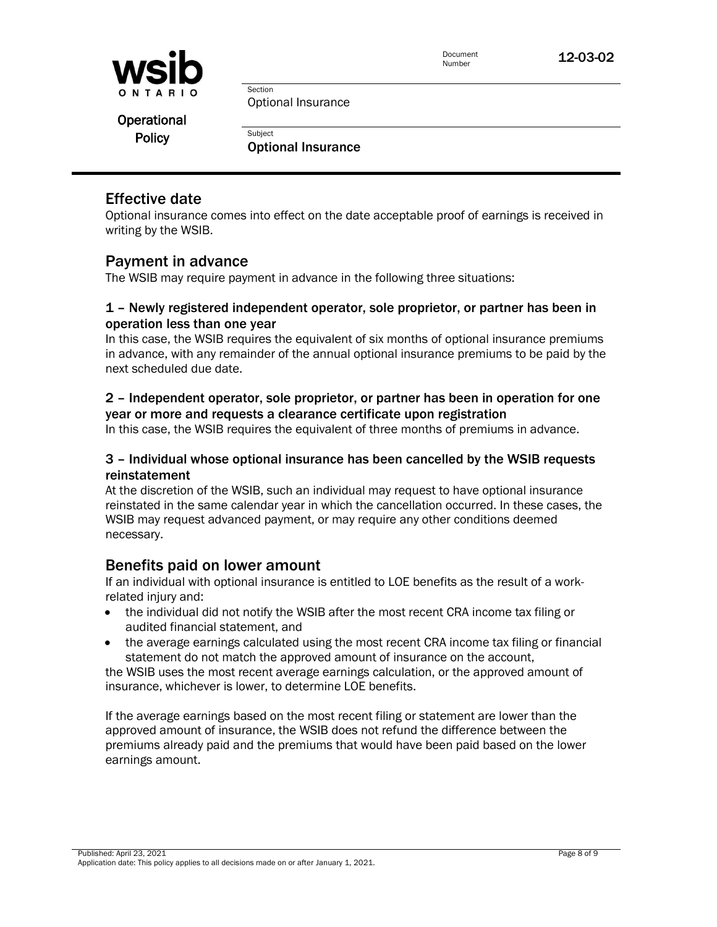

Optional Insurance

Section

Operational

Policy **Digits Containers** Policy **Optional Insurance** 

# Effective date

Optional insurance comes into effect on the date acceptable proof of earnings is received in writing by the WSIB.

# Payment in advance

The WSIB may require payment in advance in the following three situations:

### 1 – Newly registered independent operator, sole proprietor, or partner has been in operation less than one year

In this case, the WSIB requires the equivalent of six months of optional insurance premiums in advance, with any remainder of the annual optional insurance premiums to be paid by the next scheduled due date.

## 2 – Independent operator, sole proprietor, or partner has been in operation for one year or more and requests a clearance certificate upon registration

In this case, the WSIB requires the equivalent of three months of premiums in advance.

## 3 – Individual whose optional insurance has been cancelled by the WSIB requests reinstatement

At the discretion of the WSIB, such an individual may request to have optional insurance reinstated in the same calendar year in which the cancellation occurred. In these cases, the WSIB may request advanced payment, or may require any other conditions deemed necessary.

## Benefits paid on lower amount

If an individual with optional insurance is entitled to LOE benefits as the result of a workrelated injury and:

- the individual did not notify the WSIB after the most recent CRA income tax filing or audited financial statement, and
- the average earnings calculated using the most recent CRA income tax filing or financial statement do not match the approved amount of insurance on the account,

the WSIB uses the most recent average earnings calculation, or the approved amount of insurance, whichever is lower, to determine LOE benefits.

If the average earnings based on the most recent filing or statement are lower than the approved amount of insurance, the WSIB does not refund the difference between the premiums already paid and the premiums that would have been paid based on the lower earnings amount.